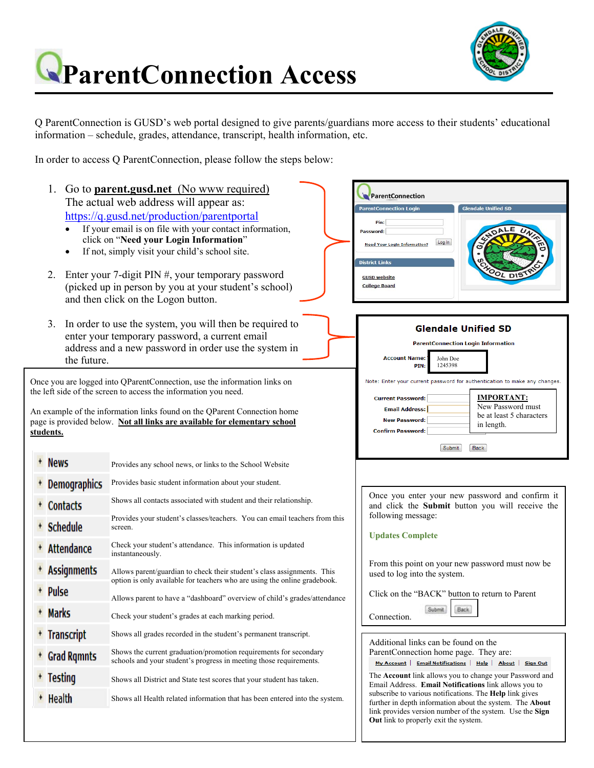

## **ParentConnection Access**

Q ParentConnection is GUSD's web portal designed to give parents/guardians more access to their students' educational information – schedule, grades, attendance, transcript, health information, etc.

In order to access Q ParentConnection, please follow the steps below:

1. Go to **parent.gusd.net** (No www required) ParentConnection The actual web address will appear as: ntConnection Login https://q.gusd.net/production/parentportal pin: If your email is on file with your contact information, Password: click on "**Need your Login Information**" Log In **Need Your Login Information?** • If not, simply visit your child's school site. .<br>District Links 2. Enter your 7-digit PIN #, your temporary password **GUSD** website (picked up in person by you at your student's school) **College Board** and then click on the Logon button. 3. In order to use the system, you will then be required to **Glendale Unified SD** enter your temporary password, a current email **ParentConnection Login Information** address and a new password in order use the system in **Account Name** John Doe the future. **PIN:** 1245398 Once you are logged into QParentConnection, use the information links on Note: Enter your current password for authentication to make any changes. the left side of the screen to access the information you need. **IMPORTANT: Current Password:** New Password must **Email Address:** An example of the information links found on the QParent Connection home be at least 5 characters New Password: page is provided below. **Not all links are available for elementary school**  in length. **Confirm Password: students.**  Submit Back + News Provides any school news, or links to the School Website Provides basic student information about your student. **Demographics** Once you enter your new password and confirm it Shows all contacts associated with student and their relationship. **Contacts** and click the **Submit** button you will receive the following message: Provides your student's classes/teachers. You can email teachers from this + Schedule screen. **Updates Complete**  Check your student's attendance. This information is updated + Attendance instantaneously. From this point on your new password must now be **Assignments** Allows parent/guardian to check their student's class assignments. This used to log into the system. option is only available for teachers who are using the online gradebook. Pulse Click on the "BACK" button to return to Parent Allows parent to have a "dashboard" overview of child's grades/attendance Submit **Back** + Marks Check your student's grades at each marking period. Connection. + Transcript Shows all grades recorded in the student's permanent transcript. Additional links can be found on the Shows the current graduation/promotion requirements for secondary ParentConnection home page. They are: **Grad Rqmnts** schools and your student's progress in meeting those requirements. My Account | Email Notifications | Help | About | Sign Out The **Account** link allows you to change your Password and Testing Shows all District and State test scores that your student has taken. Email Address. **Email Notifications** link allows you to subscribe to various notifications. The **Help** link gives **Health** Shows all Health related information that has been entered into the system. further in depth information about the system. The **About** link provides version number of the system. Use the **Sign Out** link to properly exit the system.